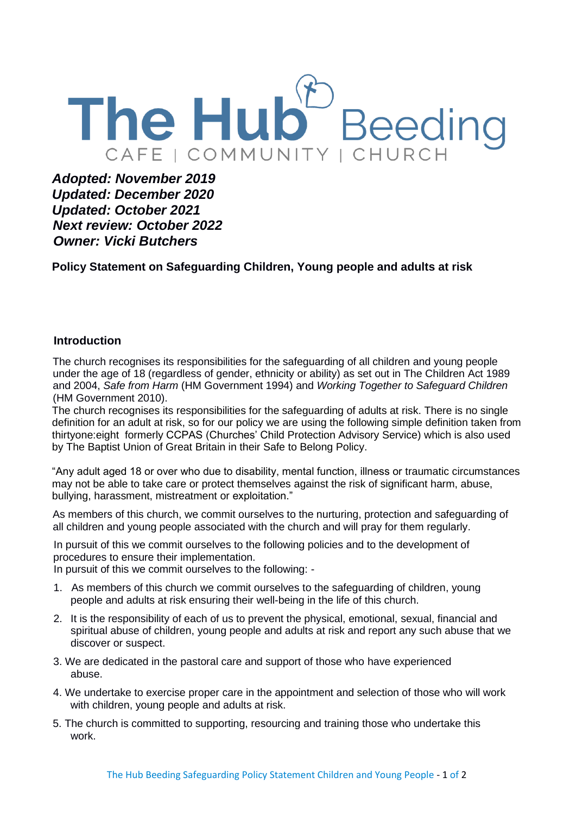

*Adopted: November 2019 Updated: December 2020 Updated: October 2021 Next review: October 2022 Owner: Vicki Butchers* 

**Policy Statement on Safeguarding Children, Young people and adults at risk**

## **Introduction**

The church recognises its responsibilities for the safeguarding of all children and young people under the age of 18 (regardless of gender, ethnicity or ability) as set out in The Children Act 1989 and 2004, *Safe from Harm* (HM Government 1994) and *Working Together to Safeguard Children*  (HM Government 2010).

The church recognises its responsibilities for the safeguarding of adults at risk. There is no single definition for an adult at risk, so for our policy we are using the following simple definition taken from thirtyone:eight formerly CCPAS (Churches' Child Protection Advisory Service) which is also used by The Baptist Union of Great Britain in their Safe to Belong Policy.

"Any adult aged 18 or over who due to disability, mental function, illness or traumatic circumstances may not be able to take care or protect themselves against the risk of significant harm, abuse, bullying, harassment, mistreatment or exploitation."

As members of this church, we commit ourselves to the nurturing, protection and safeguarding of all children and young people associated with the church and will pray for them regularly.

In pursuit of this we commit ourselves to the following policies and to the development of procedures to ensure their implementation.

In pursuit of this we commit ourselves to the following: -

- 1. As members of this church we commit ourselves to the safeguarding of children, young people and adults at risk ensuring their well-being in the life of this church.
- 2. It is the responsibility of each of us to prevent the physical, emotional, sexual, financial and spiritual abuse of children, young people and adults at risk and report any such abuse that we discover or suspect.
- 3. We are dedicated in the pastoral care and support of those who have experienced abuse.
- 4. We undertake to exercise proper care in the appointment and selection of those who will work with children, young people and adults at risk.
- 5. The church is committed to supporting, resourcing and training those who undertake this work.